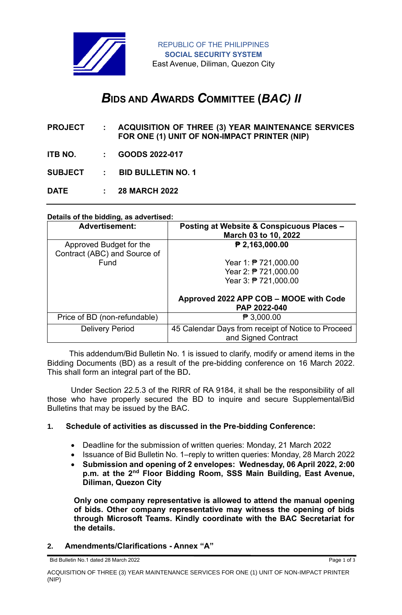

# *B***IDS AND** *A***WARDS** *C***OMMITTEE (***BAC) II*

- **PROJECT : ACQUISITION OF THREE (3) YEAR MAINTENANCE SERVICES FOR ONE (1) UNIT OF NON-IMPACT PRINTER (NIP)**
- **ITB NO. : GOODS 2022-017**

**SUBJECT : BID BULLETIN NO. 1**

**DATE : 28 MARCH 2022**

### **Details of the bidding, as advertised:**

| <b>Advertisement:</b>                                   | Posting at Website & Conspicuous Places -<br>March 03 to 10, 2022         |
|---------------------------------------------------------|---------------------------------------------------------------------------|
| Approved Budget for the<br>Contract (ABC) and Source of | ₱ 2,163,000.00                                                            |
| Fund                                                    | Year 1: $P$ 721,000.00                                                    |
|                                                         | Year 2: ₱ 721,000.00                                                      |
|                                                         | Year 3: ₱ 721,000.00                                                      |
|                                                         | Approved 2022 APP COB - MOOE with Code<br>PAP 2022-040                    |
| Price of BD (non-refundable)                            | $\mathsf{P}3,000.00$                                                      |
| <b>Delivery Period</b>                                  | 45 Calendar Days from receipt of Notice to Proceed<br>and Signed Contract |

 This addendum/Bid Bulletin No. 1 is issued to clarify, modify or amend items in the Bidding Documents (BD) as a result of the pre-bidding conference on 16 March 2022. This shall form an integral part of the BD**.**

Under Section 22.5.3 of the RIRR of RA 9184, it shall be the responsibility of all those who have properly secured the BD to inquire and secure Supplemental/Bid Bulletins that may be issued by the BAC.

### **1. Schedule of activities as discussed in the Pre-bidding Conference:**

- Deadline for the submission of written queries: Monday, 21 March 2022
- Issuance of Bid Bulletin No. 1–reply to written queries: Monday, 28 March 2022
- **Submission and opening of 2 envelopes: Wednesday, 06 April 2022, 2:00 p.m. at the 2nd Floor Bidding Room, SSS Main Building, East Avenue, Diliman, Quezon City**

**Only one company representative is allowed to attend the manual opening of bids. Other company representative may witness the opening of bids through Microsoft Teams. Kindly coordinate with the BAC Secretariat for the details.**

### **2. Amendments/Clarifications - Annex "A"**

Bid Bulletin No.1 dated 28 March 2022 **Page 1 of 3**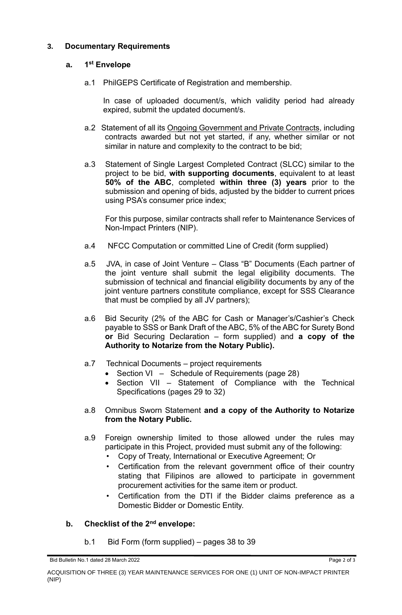# **3. Documentary Requirements**

#### **a. 1 st Envelope**

a.1 PhilGEPS Certificate of Registration and membership.

In case of uploaded document/s, which validity period had already expired, submit the updated document/s.

- a.2 Statement of all its Ongoing Government and Private Contracts, including contracts awarded but not yet started, if any, whether similar or not similar in nature and complexity to the contract to be bid;
- a.3 Statement of Single Largest Completed Contract (SLCC) similar to the project to be bid, **with supporting documents**, equivalent to at least **50% of the ABC**, completed **within three (3) years** prior to the submission and opening of bids, adjusted by the bidder to current prices using PSA's consumer price index;

For this purpose, similar contracts shall refer to Maintenance Services of Non-Impact Printers (NIP).

- a.4 NFCC Computation or committed Line of Credit (form supplied)
- a.5 JVA, in case of Joint Venture Class "B" Documents (Each partner of the joint venture shall submit the legal eligibility documents. The submission of technical and financial eligibility documents by any of the joint venture partners constitute compliance, except for SSS Clearance that must be complied by all JV partners);
- a.6 Bid Security (2% of the ABC for Cash or Manager's/Cashier's Check payable to SSS or Bank Draft of the ABC, 5% of the ABC for Surety Bond **or** Bid Securing Declaration – form supplied) and **a copy of the Authority to Notarize from the Notary Public).**
- a.7 Technical Documents project requirements
	- Section VI Schedule of Requirements (page 28)
	- Section VII Statement of Compliance with the Technical Specifications (pages 29 to 32)
- a.8 Omnibus Sworn Statement **and a copy of the Authority to Notarize from the Notary Public.**
- a.9 Foreign ownership limited to those allowed under the rules may participate in this Project, provided must submit any of the following:
	- Copy of Treaty, International or Executive Agreement; Or
	- Certification from the relevant government office of their country stating that Filipinos are allowed to participate in government procurement activities for the same item or product.
	- Certification from the DTI if the Bidder claims preference as a Domestic Bidder or Domestic Entity.

# **b. Checklist of the 2nd envelope:**

b.1 Bid Form (form supplied) – pages 38 to 39